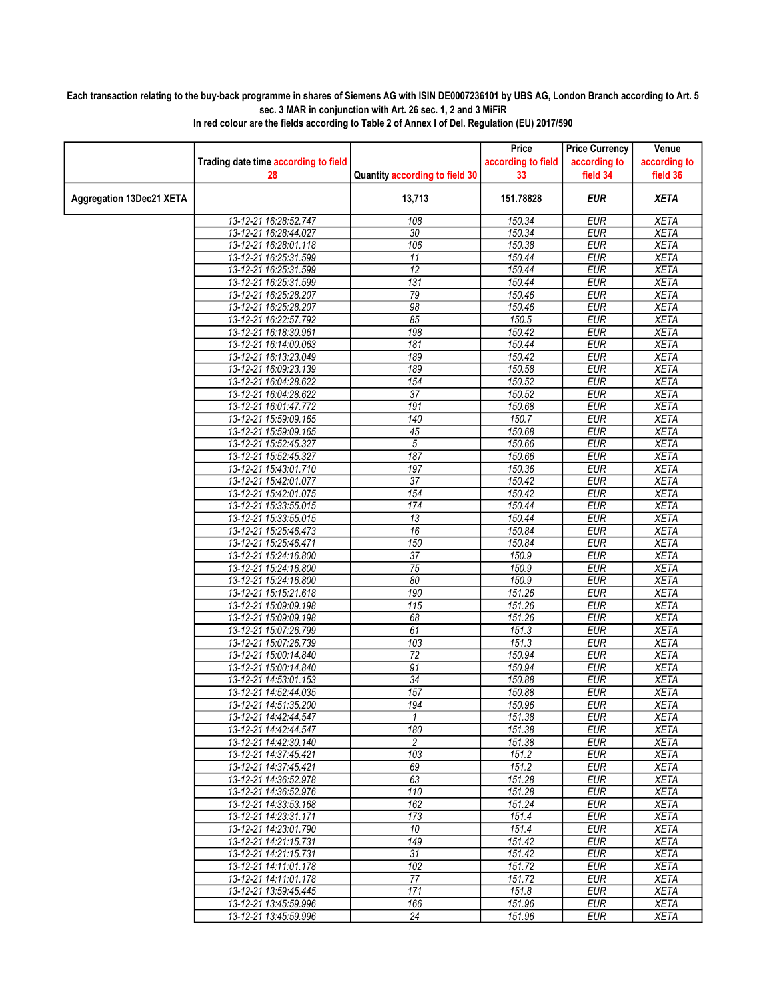## Each transaction relating to the buy-back programme in shares of Siemens AG with ISIN DE0007236101 by UBS AG, London Branch according to Art. 5 sec. 3 MAR in conjunction with Art. 26 sec. 1, 2 and 3 MiFiR

|                          |                                                |                                | Price              | <b>Price Currency</b>    | Venue                      |
|--------------------------|------------------------------------------------|--------------------------------|--------------------|--------------------------|----------------------------|
|                          | Trading date time according to field           |                                | according to field | according to             | according to               |
|                          | 28                                             | Quantity according to field 30 | 33                 | field 34                 | field 36                   |
| Aggregation 13Dec21 XETA |                                                | 13,713                         | 151.78828          | <b>EUR</b>               | <b>XETA</b>                |
|                          | 13-12-21 16:28:52.747                          | 108                            | 150.34             | <b>EUR</b>               | <b>XETA</b>                |
|                          | 13-12-21 16:28:44.027                          | $\overline{30}$                | 150.34             | <b>EUR</b>               | <b>XETA</b>                |
|                          | 13-12-21 16:28:01.118                          | 106                            | 150.38             | <b>EUR</b>               | <b>XETA</b>                |
|                          | 13-12-21 16:25:31.599                          | 11                             | 150.44             | <b>EUR</b>               | <b>XETA</b>                |
|                          | 13-12-21 16:25:31.599                          | 12                             | 150.44             | <b>EUR</b>               | <b>XETA</b>                |
|                          | 13-12-21 16:25:31.599                          | 131                            | 150.44             | <b>EUR</b>               | <b>XETA</b>                |
|                          | 13-12-21 16:25:28.207                          | 79                             | 150.46             | <b>EUR</b>               | <b>XETA</b>                |
|                          | 13-12-21 16:25:28.207                          | 98                             | 150.46             | <b>EUR</b>               | <b>XETA</b>                |
|                          | 13-12-21 16:22:57.792                          | 85                             | 150.5              | EUR                      | <b>XETA</b>                |
|                          | 13-12-21 16:18:30.961                          | 198                            | 150.42             | <b>EUR</b>               | <b>XETA</b>                |
|                          | 13-12-21 16:14:00.063                          | 181                            | 150.44             | <b>EUR</b>               | <b>XETA</b>                |
|                          | 13-12-21 16:13:23.049                          | 189                            | 150.42             | EUR                      | <b>XETA</b>                |
|                          | 13-12-21 16:09:23.139                          | 189                            | 150.58             | <b>EUR</b>               | <b>XETA</b>                |
|                          | 13-12-21 16:04:28.622                          | 154<br>$\overline{37}$         | 150.52<br>150.52   | <b>EUR</b>               | <b>XETA</b>                |
|                          | 13-12-21 16:04:28.622<br>13-12-21 16:01:47.772 | 191                            | 150.68             | <b>EUR</b><br><b>EUR</b> | <b>XETA</b><br><b>XETA</b> |
|                          | 13-12-21 15:59:09.165                          | 140                            | 150.7              | <b>EUR</b>               | <b>XETA</b>                |
|                          | 13-12-21 15:59:09.165                          | 45                             | 150.68             | <b>EUR</b>               | <b>XETA</b>                |
|                          | 13-12-21 15:52:45.327                          | 5                              | 150.66             | <b>EUR</b>               | <b>XETA</b>                |
|                          | 13-12-21 15:52:45.327                          | 187                            | 150.66             | <b>EUR</b>               | <b>XETA</b>                |
|                          | 13-12-21 15:43:01.710                          | 197                            | 150.36             | <b>EUR</b>               | <b>XETA</b>                |
|                          | 13-12-21 15:42:01.077                          | $\overline{37}$                | 150.42             | <b>EUR</b>               | <b>XETA</b>                |
|                          | 13-12-21 15:42:01.075                          | 154                            | 150.42             | <b>EUR</b>               | <b>XETA</b>                |
|                          | 13-12-21 15:33:55.015                          | 174                            | 150.44             | <b>EUR</b>               | <b>XETA</b>                |
|                          | 13-12-21 15:33:55.015                          | 13                             | 150.44             | <b>EUR</b>               | <b>XETA</b>                |
|                          | 13-12-21 15:25:46.473                          | 16                             | 150.84             | <b>EUR</b>               | <b>XETA</b>                |
|                          | 13-12-21 15:25:46.471                          | 150                            | 150.84             | <b>EUR</b>               | <b>XETA</b>                |
|                          | 13-12-21 15:24:16.800                          | 37                             | 150.9              | <b>EUR</b>               | <b>XETA</b>                |
|                          | 13-12-21 15:24:16.800                          | $\overline{75}$                | 150.9              | <b>EUR</b>               | <b>XETA</b>                |
|                          | 13-12-21 15:24:16.800                          | 80                             | 150.9              | <b>EUR</b>               | <b>XETA</b>                |
|                          | 13-12-21 15:15:21.618<br>13-12-21 15:09:09.198 | 190<br>115                     | 151.26<br>151.26   | <b>EUR</b><br><b>EUR</b> | <b>XETA</b><br><b>XETA</b> |
|                          | 13-12-21 15:09:09.198                          | 68                             | 151.26             | <b>EUR</b>               | <b>XETA</b>                |
|                          | 13-12-21 15:07:26.799                          | 61                             | 151.3              | <b>EUR</b>               | <b>XETA</b>                |
|                          | 13-12-21 15:07:26.739                          | 103                            | 151.3              | <b>EUR</b>               | <b>XETA</b>                |
|                          | 13-12-21 15:00:14.840                          | $\overline{72}$                | 150.94             | <b>EUR</b>               | <b>XETA</b>                |
|                          | 13-12-21 15:00:14.840                          | 91                             | 150.94             | <b>EUR</b>               | <b>XETA</b>                |
|                          | 13-12-21 14:53:01.153                          | 34                             | 150.88             | <b>EUR</b>               | <b>XETA</b>                |
|                          | 13-12-21 14:52:44.035                          | 157                            | 150.88             | <b>EUR</b>               | <b>XETA</b>                |
|                          | 13-12-21 14:51:35.200                          | 194                            | 150.96             | <b>EUR</b>               | <b>XETA</b>                |
|                          | 13-12-21 14:42:44.547                          | 1                              | 151.38             | <b>EUR</b>               | <b>XETA</b>                |
|                          | 13-12-21 14:42:44.547                          | 180                            | 151.38             | <b>EUR</b>               | <b>XETA</b>                |
|                          | 13-12-21 14:42:30.140                          | 2                              | 151.38             | <b>EUR</b>               | <b>XETA</b>                |
|                          | 13-12-21 14:37:45.421                          | 103                            | 151.2              | <b>EUR</b>               | <b>XETA</b>                |
|                          | 13-12-21 14:37:45.421<br>13-12-21 14:36:52.978 | 69<br>63                       | 151.2<br>151.28    | <b>EUR</b><br><b>EUR</b> | <b>XETA</b><br><b>XETA</b> |
|                          | 13-12-21 14:36:52.976                          | 110                            | 151.28             | <b>EUR</b>               | <b>XETA</b>                |
|                          | 13-12-21 14:33:53.168                          | 162                            | 151.24             | <b>EUR</b>               | <b>XETA</b>                |
|                          | 13-12-21 14:23:31.171                          | 173                            | 151.4              | <b>EUR</b>               | <b>XETA</b>                |
|                          | 13-12-21 14:23:01.790                          | 10                             | 151.4              | <b>EUR</b>               | <b>XETA</b>                |
|                          | 13-12-21 14:21:15.731                          | 149                            | 151.42             | <b>EUR</b>               | <b>XETA</b>                |
|                          | 13-12-21 14:21:15.731                          | 31                             | 151.42             | <b>EUR</b>               | <b>XETA</b>                |
|                          | 13-12-21 14:11:01.178                          | 102                            | 151.72             | <b>EUR</b>               | <b>XETA</b>                |
|                          | 13-12-21 14:11:01.178                          | 77                             | 151.72             | <b>EUR</b>               | <b>XETA</b>                |
|                          | 13-12-21 13:59:45.445                          | 171                            | 151.8              | <b>EUR</b>               | <b>XETA</b>                |
|                          | 13-12-21 13:45:59.996                          | 166                            | 151.96             | <b>EUR</b>               | <b>XETA</b>                |
|                          | 13-12-21 13:45:59.996                          | 24                             | 151.96             | <b>EUR</b>               | <b>XETA</b>                |

In red colour are the fields according to Table 2 of Annex I of Del. Regulation (EU) 2017/590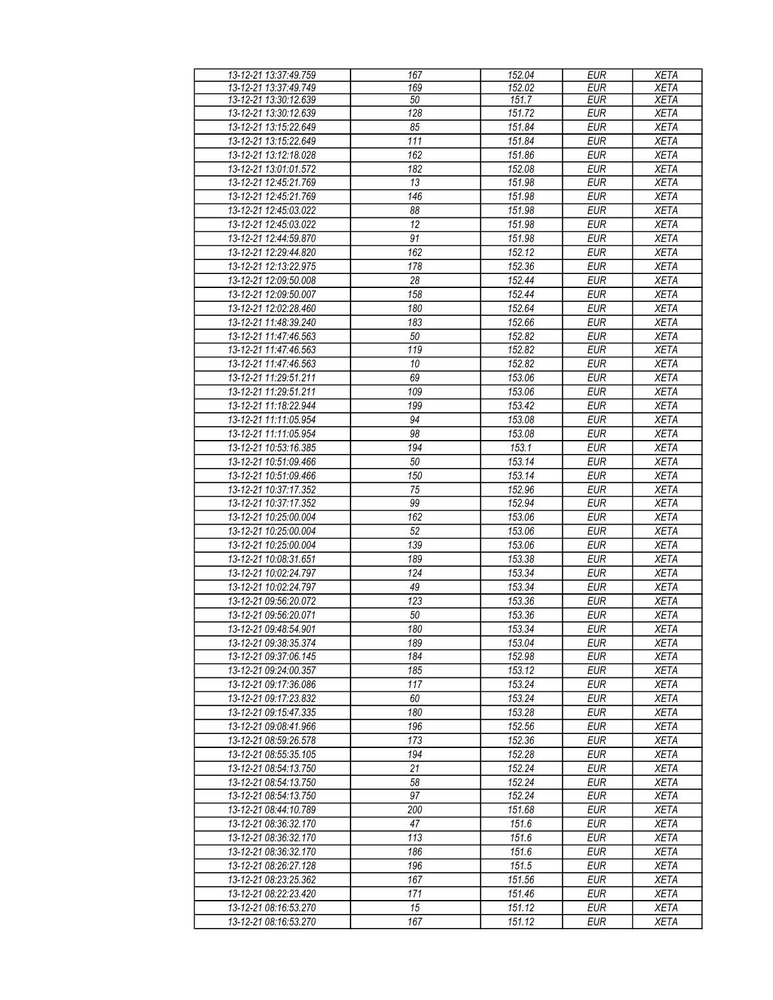| 13-12-21 13:37:49.759 | 167 | 152.04 | <b>EUR</b> | <b>XETA</b> |
|-----------------------|-----|--------|------------|-------------|
| 13-12-21 13:37:49.749 | 169 | 152.02 | <b>EUR</b> | <b>XETA</b> |
| 13-12-21 13:30:12.639 | 50  | 151.7  | <b>EUR</b> | <b>XETA</b> |
| 13-12-21 13:30:12.639 | 128 | 151.72 | <b>EUR</b> | <b>XETA</b> |
| 13-12-21 13:15:22.649 | 85  | 151.84 | <b>EUR</b> | <b>XETA</b> |
| 13-12-21 13:15:22.649 | 111 | 151.84 | <b>EUR</b> | <b>XETA</b> |
| 13-12-21 13:12:18.028 | 162 | 151.86 | <b>EUR</b> | <b>XETA</b> |
| 13-12-21 13:01:01.572 | 182 | 152.08 | <b>EUR</b> | <b>XETA</b> |
| 13-12-21 12:45:21.769 | 13  | 151.98 | <b>EUR</b> | <b>XETA</b> |
|                       |     |        |            |             |
| 13-12-21 12:45:21.769 | 146 | 151.98 | <b>EUR</b> | <b>XETA</b> |
| 13-12-21 12:45:03.022 | 88  | 151.98 | <b>EUR</b> | <b>XETA</b> |
| 13-12-21 12:45:03.022 | 12  | 151.98 | <b>EUR</b> | <b>XETA</b> |
| 13-12-21 12:44:59.870 | 91  | 151.98 | <b>EUR</b> | <b>XETA</b> |
| 13-12-21 12:29:44.820 | 162 | 152.12 | <b>EUR</b> | <b>XETA</b> |
| 13-12-21 12:13:22.975 | 178 | 152.36 | <b>EUR</b> | <b>XETA</b> |
| 13-12-21 12:09:50.008 | 28  | 152.44 | <b>EUR</b> | <b>XETA</b> |
| 13-12-21 12:09:50.007 | 158 | 152.44 | <b>EUR</b> | <b>XETA</b> |
| 13-12-21 12:02:28.460 | 180 | 152.64 | <b>EUR</b> | <b>XETA</b> |
| 13-12-21 11:48:39.240 | 183 | 152.66 | <b>EUR</b> | <b>XETA</b> |
| 13-12-21 11:47:46.563 | 50  | 152.82 | <b>EUR</b> | <b>XETA</b> |
| 13-12-21 11:47:46.563 | 119 | 152.82 | <b>EUR</b> | <b>XETA</b> |
|                       |     |        | <b>EUR</b> |             |
| 13-12-21 11:47:46.563 | 10  | 152.82 |            | <b>XETA</b> |
| 13-12-21 11:29:51.211 | 69  | 153.06 | <b>EUR</b> | <b>XETA</b> |
| 13-12-21 11:29:51.211 | 109 | 153.06 | <b>EUR</b> | <b>XETA</b> |
| 13-12-21 11:18:22.944 | 199 | 153.42 | <b>EUR</b> | <b>XETA</b> |
| 13-12-21 11:11:05.954 | 94  | 153.08 | <b>EUR</b> | <b>XETA</b> |
| 13-12-21 11:11:05.954 | 98  | 153.08 | <b>EUR</b> | <b>XETA</b> |
| 13-12-21 10:53:16.385 | 194 | 153.1  | <b>EUR</b> | <b>XETA</b> |
| 13-12-21 10:51:09.466 | 50  | 153.14 | <b>EUR</b> | <b>XETA</b> |
| 13-12-21 10:51:09.466 | 150 | 153.14 | <b>EUR</b> | <b>XETA</b> |
| 13-12-21 10:37:17.352 | 75  | 152.96 | <b>EUR</b> | <b>XETA</b> |
| 13-12-21 10:37:17.352 | 99  | 152.94 | <b>EUR</b> | <b>XETA</b> |
| 13-12-21 10:25:00.004 | 162 | 153.06 | <b>EUR</b> | <b>XETA</b> |
| 13-12-21 10:25:00.004 | 52  | 153.06 | <b>EUR</b> | <b>XETA</b> |
| 13-12-21 10:25:00.004 | 139 | 153.06 | <b>EUR</b> |             |
|                       |     |        |            | <b>XETA</b> |
| 13-12-21 10:08:31.651 | 189 | 153.38 | <b>EUR</b> | <b>XETA</b> |
| 13-12-21 10:02:24.797 | 124 | 153.34 | <b>EUR</b> | <b>XETA</b> |
| 13-12-21 10:02:24.797 | 49  | 153.34 | <b>EUR</b> | <b>XETA</b> |
| 13-12-21 09:56:20.072 | 123 | 153.36 | <b>EUR</b> | <b>XETA</b> |
| 13-12-21 09:56:20.071 | 50  | 153.36 | <b>EUR</b> | <b>XETA</b> |
| 13-12-21 09:48:54.901 | 180 | 153.34 | <b>EUR</b> | <b>XETA</b> |
| 13-12-21 09:38:35.374 | 189 | 153.04 | <b>EUR</b> | <b>XETA</b> |
| 13-12-21 09:37:06.145 | 184 | 152.98 | <b>EUR</b> | <b>XETA</b> |
| 13-12-21 09:24:00.357 | 185 | 153.12 | <b>EUR</b> | <b>XETA</b> |
| 13-12-21 09:17:36.086 | 117 | 153.24 | <b>EUR</b> | <b>XETA</b> |
| 13-12-21 09:17:23.832 | 60  | 153.24 | <b>EUR</b> | <b>XETA</b> |
| 13-12-21 09:15:47.335 | 180 | 153.28 | <b>EUR</b> | <b>XETA</b> |
| 13-12-21 09:08:41.966 | 196 | 152.56 | <b>EUR</b> | <b>XETA</b> |
| 13-12-21 08:59:26.578 | 173 | 152.36 | <b>EUR</b> | <b>XETA</b> |
| 13-12-21 08:55:35.105 | 194 | 152.28 | <b>EUR</b> | <b>XETA</b> |
|                       |     |        |            |             |
| 13-12-21 08:54:13.750 | 21  | 152.24 | <b>EUR</b> | <b>XETA</b> |
| 13-12-21 08:54:13.750 | 58  | 152.24 | <b>EUR</b> | <b>XETA</b> |
| 13-12-21 08:54:13.750 | 97  | 152.24 | <b>EUR</b> | <b>XETA</b> |
| 13-12-21 08:44:10.789 | 200 | 151.68 | <b>EUR</b> | <b>XETA</b> |
| 13-12-21 08:36:32.170 | 47  | 151.6  | <b>EUR</b> | <b>XETA</b> |
| 13-12-21 08:36:32.170 | 113 | 151.6  | <b>EUR</b> | <b>XETA</b> |
| 13-12-21 08:36:32.170 | 186 | 151.6  | <b>EUR</b> | <b>XETA</b> |
| 13-12-21 08:26:27.128 | 196 | 151.5  | <b>EUR</b> | <b>XETA</b> |
| 13-12-21 08:23:25.362 | 167 | 151.56 | <b>EUR</b> | <b>XETA</b> |
| 13-12-21 08:22:23.420 | 171 | 151.46 | <b>EUR</b> | <b>XETA</b> |
| 13-12-21 08:16:53.270 | 15  | 151.12 | <b>EUR</b> | <b>XETA</b> |
| 13-12-21 08:16:53.270 | 167 | 151.12 | <b>EUR</b> | <b>XETA</b> |
|                       |     |        |            |             |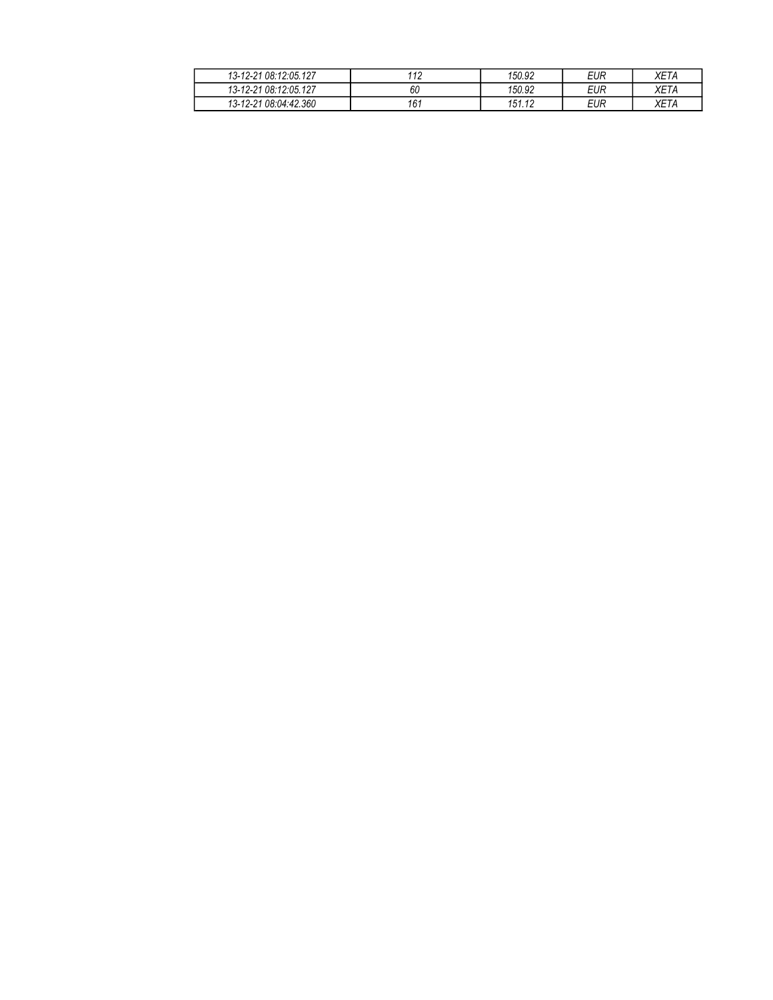| 13-12-21 08:12:05.127 | 110<br>. . | 150.92 | EUR | <i>XET/</i> |
|-----------------------|------------|--------|-----|-------------|
| 13-12-21 08:12:05.127 | 60         | 150.92 | EUR | <b>YET</b>  |
| 13-12-21 08:04:42.360 | 161        | 151.12 | EUR | <b>YET</b>  |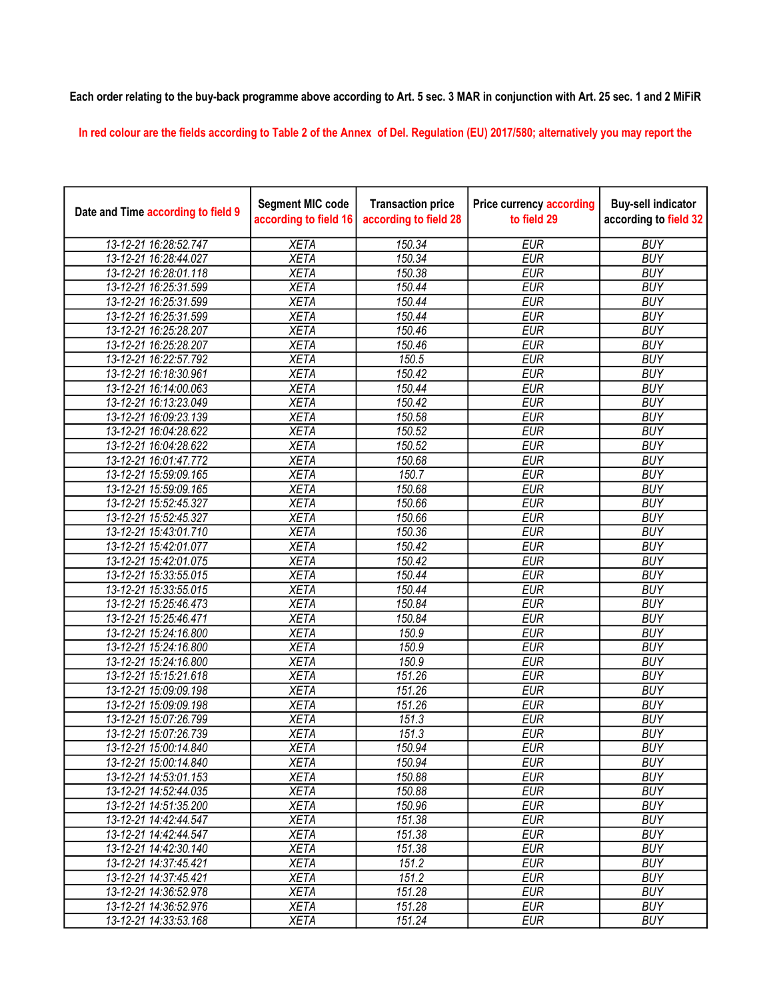## Each order relating to the buy-back programme above according to Art. 5 sec. 3 MAR in conjunction with Art. 25 sec. 1 and 2 MiFiR

In red colour are the fields according to Table 2 of the Annex of Del. Regulation (EU) 2017/580; alternatively you may report the

| Date and Time according to field 9 | <b>Segment MIC code</b><br>according to field 16 | <b>Transaction price</b><br>according to field 28 | <b>Price currency according</b><br>to field 29 | <b>Buy-sell indicator</b><br>according to field 32 |
|------------------------------------|--------------------------------------------------|---------------------------------------------------|------------------------------------------------|----------------------------------------------------|
| 13-12-21 16:28:52.747              | <b>XETA</b>                                      | 150.34                                            | <b>EUR</b>                                     | <b>BUY</b>                                         |
| 13-12-21 16:28:44.027              | <b>XETA</b>                                      | 150.34                                            | <b>EUR</b>                                     | <b>BUY</b>                                         |
| 13-12-21 16:28:01.118              | <b>XETA</b>                                      | 150.38                                            | <b>EUR</b>                                     | <b>BUY</b>                                         |
| 13-12-21 16:25:31.599              | <b>XETA</b>                                      | 150.44                                            | <b>EUR</b>                                     | <b>BUY</b>                                         |
| 13-12-21 16:25:31.599              | <b>XETA</b>                                      | 150.44                                            | <b>EUR</b>                                     | <b>BUY</b>                                         |
| 13-12-21 16:25:31.599              | <b>XETA</b>                                      | 150.44                                            | <b>EUR</b>                                     | <b>BUY</b>                                         |
| 13-12-21 16:25:28.207              | <b>XETA</b>                                      | 150.46                                            | <b>EUR</b>                                     | <b>BUY</b>                                         |
| 13-12-21 16:25:28.207              | <b>XETA</b>                                      | 150.46                                            | <b>EUR</b>                                     | <b>BUY</b>                                         |
| 13-12-21 16:22:57.792              | <b>XETA</b>                                      | 150.5                                             | <b>EUR</b>                                     | <b>BUY</b>                                         |
| 13-12-21 16:18:30.961              | <b>XETA</b>                                      | 150.42                                            | <b>EUR</b>                                     | <b>BUY</b>                                         |
| 13-12-21 16:14:00.063              | <b>XETA</b>                                      | 150.44                                            | <b>EUR</b>                                     | <b>BUY</b>                                         |
| 13-12-21 16:13:23.049              | <b>XETA</b>                                      | 150.42                                            | <b>EUR</b>                                     | <b>BUY</b>                                         |
| 13-12-21 16:09:23.139              | <b>XETA</b>                                      | 150.58                                            | <b>EUR</b>                                     | <b>BUY</b>                                         |
| 13-12-21 16:04:28.622              | <b>XETA</b>                                      | 150.52                                            | <b>EUR</b>                                     | <b>BUY</b>                                         |
| 13-12-21 16:04:28.622              | <b>XETA</b>                                      | 150.52                                            | <b>EUR</b>                                     | <b>BUY</b>                                         |
| 13-12-21 16:01:47.772              | <b>XETA</b>                                      | 150.68                                            | <b>EUR</b>                                     | <b>BUY</b>                                         |
| 13-12-21 15:59:09.165              | <b>XETA</b>                                      | 150.7                                             | <b>EUR</b>                                     | <b>BUY</b>                                         |
| 13-12-21 15:59:09.165              | <b>XETA</b>                                      | 150.68                                            | <b>EUR</b>                                     | <b>BUY</b>                                         |
| 13-12-21 15:52:45.327              | <b>XETA</b>                                      | 150.66                                            | <b>EUR</b>                                     | <b>BUY</b>                                         |
| 13-12-21 15:52:45.327              | <b>XETA</b>                                      | 150.66                                            | <b>EUR</b>                                     | <b>BUY</b>                                         |
| 13-12-21 15:43:01.710              | <b>XETA</b>                                      | 150.36                                            | <b>EUR</b>                                     | <b>BUY</b>                                         |
| 13-12-21 15:42:01.077              | <b>XETA</b>                                      | 150.42                                            | <b>EUR</b>                                     | <b>BUY</b>                                         |
| 13-12-21 15:42:01.075              | <b>XETA</b>                                      | 150.42                                            | <b>EUR</b>                                     | <b>BUY</b>                                         |
| 13-12-21 15:33:55.015              | <b>XETA</b>                                      | 150.44                                            | <b>EUR</b>                                     | <b>BUY</b>                                         |
| 13-12-21 15:33:55.015              | <b>XETA</b>                                      | 150.44                                            | <b>EUR</b>                                     | <b>BUY</b>                                         |
| 13-12-21 15:25:46.473              | <b>XETA</b>                                      | 150.84                                            | <b>EUR</b>                                     | <b>BUY</b>                                         |
| 13-12-21 15:25:46.471              | <b>XETA</b>                                      | 150.84                                            | <b>EUR</b>                                     | <b>BUY</b>                                         |
| 13-12-21 15:24:16.800              | <b>XETA</b>                                      | 150.9                                             | <b>EUR</b>                                     | <b>BUY</b>                                         |
| 13-12-21 15:24:16.800              | <b>XETA</b>                                      | 150.9                                             | <b>EUR</b>                                     | <b>BUY</b>                                         |
| 13-12-21 15:24:16.800              | <b>XETA</b>                                      | 150.9                                             | <b>EUR</b>                                     | <b>BUY</b>                                         |
| 13-12-21 15:15:21.618              | <b>XETA</b>                                      | 151.26                                            | <b>EUR</b>                                     | <b>BUY</b>                                         |
| 13-12-21 15:09:09.198              | <b>XETA</b>                                      | 151.26                                            | <b>EUR</b>                                     | <b>BUY</b>                                         |
| 13-12-21 15:09:09.198              | <b>XETA</b>                                      | 151.26                                            | <b>EUR</b>                                     | <b>BUY</b>                                         |
| 13-12-21 15:07:26.799              | <b>XETA</b>                                      | 151.3                                             | <b>EUR</b>                                     | <b>BUY</b>                                         |
| 13-12-21 15:07:26.739              | <b>XETA</b>                                      | 151.3                                             | <b>EUR</b>                                     | <b>BUY</b>                                         |
| 13-12-21 15:00:14.840              | XETA                                             | 150.94                                            | <b>EUR</b>                                     | <b>BUY</b>                                         |
| 13-12-21 15:00:14.840              | <b>XETA</b>                                      | 150.94                                            | <b>EUR</b>                                     | <b>BUY</b>                                         |
| 13-12-21 14:53:01.153              | <b>XETA</b>                                      | 150.88                                            | <b>EUR</b>                                     | <b>BUY</b>                                         |
| 13-12-21 14:52:44.035              | <b>XETA</b>                                      | 150.88                                            | <b>EUR</b>                                     | <b>BUY</b>                                         |
| 13-12-21 14:51:35.200              | <b>XETA</b>                                      | 150.96                                            | <b>EUR</b>                                     | <b>BUY</b>                                         |
| 13-12-21 14:42:44.547              | <b>XETA</b>                                      | 151.38                                            | <b>EUR</b>                                     | <b>BUY</b>                                         |
| 13-12-21 14:42:44.547              | <b>XETA</b>                                      | 151.38                                            | <b>EUR</b>                                     | <b>BUY</b>                                         |
| 13-12-21 14:42:30.140              | <b>XETA</b>                                      | 151.38                                            | <b>EUR</b>                                     | <b>BUY</b>                                         |
| 13-12-21 14:37:45.421              | <b>XETA</b>                                      | 151.2                                             | <b>EUR</b>                                     | <b>BUY</b>                                         |
| 13-12-21 14:37:45.421              | <b>XETA</b>                                      | 151.2                                             | <b>EUR</b>                                     | <b>BUY</b>                                         |
| 13-12-21 14:36:52.978              | <b>XETA</b>                                      | 151.28                                            | <b>EUR</b>                                     | <b>BUY</b>                                         |
| 13-12-21 14:36:52.976              | <b>XETA</b>                                      | 151.28                                            | <b>EUR</b><br><b>EUR</b>                       | <b>BUY</b>                                         |
| 13-12-21 14:33:53.168              | <b>XETA</b>                                      | 151.24                                            |                                                | <b>BUY</b>                                         |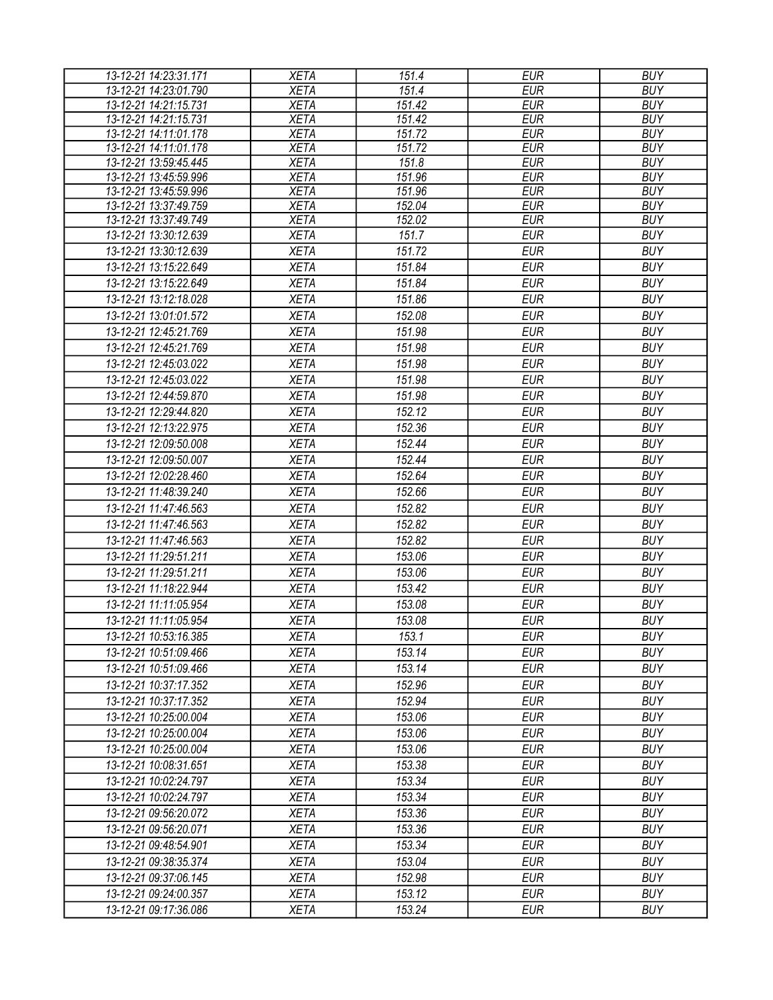| <b>XETA</b><br>$\overline{151.4}$<br><b>EUR</b><br><b>BUY</b><br>13-12-21 14:23:01.790<br>$\overline{151.42}$<br><b>EUR</b><br><b>BUY</b><br>13-12-21 14:21:15.731<br><b>XETA</b><br><b>XETA</b><br>151.42<br><b>EUR</b><br><b>BUY</b><br>13-12-21 14:21:15.731<br>151.72<br>13-12-21 14:11:01.178<br><b>XETA</b><br><b>EUR</b><br><b>BUY</b><br>13-12-21 14:11:01.178<br>151.72<br><b>EUR</b><br><b>BUY</b><br><b>XETA</b><br>13-12-21 13:59:45.445<br><b>EUR</b><br><b>XETA</b><br>151.8<br><b>BUY</b><br><b>EUR</b><br>13-12-21 13:45:59.996<br><b>XETA</b><br>151.96<br><b>BUY</b><br>13-12-21 13:45:59.996<br><b>XETA</b><br>151.96<br><b>EUR</b><br><b>BUY</b><br><b>XETA</b><br><b>EUR</b><br><b>BUY</b><br>13-12-21 13:37:49.759<br>152.04<br><b>XETA</b><br>152.02<br><b>EUR</b><br><b>BUY</b><br>13-12-21 13:37:49.749<br><b>EUR</b><br><b>BUY</b><br><b>XETA</b><br>151.7<br>13-12-21 13:30:12.639<br>13-12-21 13:30:12.639<br><b>XETA</b><br>151.72<br><b>EUR</b><br><b>BUY</b><br>13-12-21 13:15:22.649<br><b>XETA</b><br>151.84<br><b>EUR</b><br><b>BUY</b><br><b>EUR</b><br><b>BUY</b><br>13-12-21 13:15:22.649<br><b>XETA</b><br>151.84<br><b>EUR</b><br><b>BUY</b><br>13-12-21 13:12:18.028<br><b>XETA</b><br>151.86<br><b>BUY</b><br>13-12-21 13:01:01.572<br><b>XETA</b><br>152.08<br><b>EUR</b><br><b>EUR</b><br><b>BUY</b><br>13-12-21 12:45:21.769<br><b>XETA</b><br>151.98<br><b>XETA</b><br>151.98<br><b>EUR</b><br><b>BUY</b><br>13-12-21 12:45:21.769<br><b>EUR</b><br><b>BUY</b><br>13-12-21 12:45:03.022<br><b>XETA</b><br>151.98<br><b>XETA</b><br><b>EUR</b><br><b>BUY</b><br>13-12-21 12:45:03.022<br>151.98<br><b>XETA</b><br>151.98<br><b>EUR</b><br><b>BUY</b><br>13-12-21 12:44:59.870<br>152.12<br><b>EUR</b><br><b>BUY</b><br>13-12-21 12:29:44.820<br><b>XETA</b><br>152.36<br><b>EUR</b><br><b>BUY</b><br>13-12-21 12:13:22.975<br><b>XETA</b><br>152.44<br><b>EUR</b><br><b>BUY</b><br>13-12-21 12:09:50.008<br><b>XETA</b><br>152.44<br>13-12-21 12:09:50.007<br><b>XETA</b><br><b>EUR</b><br><b>BUY</b><br><b>EUR</b><br>13-12-21 12:02:28.460<br><b>XETA</b><br>152.64<br><b>BUY</b><br><b>EUR</b><br>13-12-21 11:48:39.240<br><b>XETA</b><br>152.66<br><b>BUY</b><br>152.82<br><b>EUR</b><br><b>BUY</b><br>13-12-21 11:47:46.563<br><b>XETA</b><br>13-12-21 11:47:46.563<br><b>XETA</b><br>152.82<br><b>EUR</b><br><b>BUY</b><br>152.82<br><b>EUR</b><br><b>BUY</b><br>13-12-21 11:47:46.563<br><b>XETA</b><br>13-12-21 11:29:51.211<br><b>XETA</b><br>153.06<br><b>EUR</b><br><b>BUY</b><br>13-12-21 11:29:51.211<br>153.06<br><b>EUR</b><br><b>BUY</b><br><b>XETA</b><br>13-12-21 11:18:22.944<br><b>BUY</b><br><b>XETA</b><br>153.42<br><b>EUR</b><br>153.08<br><b>EUR</b><br><b>BUY</b><br>13-12-21 11:11:05.954<br><b>XETA</b><br><b>XETA</b><br><b>EUR</b><br><b>BUY</b><br>13-12-21 11:11:05.954<br>153.08<br><b>XETA</b><br>153.1<br><b>EUR</b><br><b>BUY</b><br>13-12-21 10:53:16.385<br><b>XETA</b><br>153.14<br><b>EUR</b><br><b>BUY</b><br>13-12-21 10:51:09.466<br>153.14<br><b>EUR</b><br><b>BUY</b><br>13-12-21 10:51:09.466<br><b>XETA</b><br>152.96<br><b>EUR</b><br><b>BUY</b><br>13-12-21 10:37:17.352<br><b>XETA</b><br>152.94<br><b>EUR</b><br><b>BUY</b><br>13-12-21 10:37:17.352<br><b>XETA</b><br><b>BUY</b><br><b>XETA</b><br>153.06<br><b>EUR</b><br>13-12-21 10:25:00.004<br><b>EUR</b><br><b>BUY</b><br>13-12-21 10:25:00.004<br><b>XETA</b><br>153.06<br><b>EUR</b><br><b>BUY</b><br><b>XETA</b><br>153.06<br>13-12-21 10:25:00.004<br>153.38<br><b>EUR</b><br><b>BUY</b><br>13-12-21 10:08:31.651<br><b>XETA</b><br><b>XETA</b><br><b>EUR</b><br><b>BUY</b><br>13-12-21 10:02:24.797<br>153.34<br>153.34<br><b>EUR</b><br><b>BUY</b><br>13-12-21 10:02:24.797<br>XETA<br><b>EUR</b><br><b>BUY</b><br><b>XETA</b><br>153.36<br>13-12-21 09:56:20.072<br>153.36<br><b>EUR</b><br><b>BUY</b><br>13-12-21 09:56:20.071<br><b>XETA</b><br>153.34<br><b>BUY</b><br><b>EUR</b><br>13-12-21 09:48:54.901<br><b>XETA</b><br>153.04<br><b>EUR</b><br><b>BUY</b><br>13-12-21 09:38:35.374<br><b>XETA</b><br><b>EUR</b><br><b>BUY</b><br><b>XETA</b><br>152.98<br>13-12-21 09:37:06.145<br>153.12<br><b>EUR</b><br><b>BUY</b><br>13-12-21 09:24:00.357<br><b>XETA</b> | 13-12-21 14:23:31.171 | <b>XETA</b> | 151.4  | <b>EUR</b> | <b>BUY</b> |
|-------------------------------------------------------------------------------------------------------------------------------------------------------------------------------------------------------------------------------------------------------------------------------------------------------------------------------------------------------------------------------------------------------------------------------------------------------------------------------------------------------------------------------------------------------------------------------------------------------------------------------------------------------------------------------------------------------------------------------------------------------------------------------------------------------------------------------------------------------------------------------------------------------------------------------------------------------------------------------------------------------------------------------------------------------------------------------------------------------------------------------------------------------------------------------------------------------------------------------------------------------------------------------------------------------------------------------------------------------------------------------------------------------------------------------------------------------------------------------------------------------------------------------------------------------------------------------------------------------------------------------------------------------------------------------------------------------------------------------------------------------------------------------------------------------------------------------------------------------------------------------------------------------------------------------------------------------------------------------------------------------------------------------------------------------------------------------------------------------------------------------------------------------------------------------------------------------------------------------------------------------------------------------------------------------------------------------------------------------------------------------------------------------------------------------------------------------------------------------------------------------------------------------------------------------------------------------------------------------------------------------------------------------------------------------------------------------------------------------------------------------------------------------------------------------------------------------------------------------------------------------------------------------------------------------------------------------------------------------------------------------------------------------------------------------------------------------------------------------------------------------------------------------------------------------------------------------------------------------------------------------------------------------------------------------------------------------------------------------------------------------------------------------------------------------------------------------------------------------------------------------------------------------------------------------------------------------------------------------------------------------------------------------------------------------------------------------------------------------------------------------------------------------------------------------------------------------------------------------------------------------------------------------------------------------------------------------------------------------------------------------------------------------------------------------------------------------------------------------------------------------------------------------------------------------------------------------------------------------------|-----------------------|-------------|--------|------------|------------|
|                                                                                                                                                                                                                                                                                                                                                                                                                                                                                                                                                                                                                                                                                                                                                                                                                                                                                                                                                                                                                                                                                                                                                                                                                                                                                                                                                                                                                                                                                                                                                                                                                                                                                                                                                                                                                                                                                                                                                                                                                                                                                                                                                                                                                                                                                                                                                                                                                                                                                                                                                                                                                                                                                                                                                                                                                                                                                                                                                                                                                                                                                                                                                                                                                                                                                                                                                                                                                                                                                                                                                                                                                                                                                                                                                                                                                                                                                                                                                                                                                                                                                                                                                                                                                                     |                       |             |        |            |            |
|                                                                                                                                                                                                                                                                                                                                                                                                                                                                                                                                                                                                                                                                                                                                                                                                                                                                                                                                                                                                                                                                                                                                                                                                                                                                                                                                                                                                                                                                                                                                                                                                                                                                                                                                                                                                                                                                                                                                                                                                                                                                                                                                                                                                                                                                                                                                                                                                                                                                                                                                                                                                                                                                                                                                                                                                                                                                                                                                                                                                                                                                                                                                                                                                                                                                                                                                                                                                                                                                                                                                                                                                                                                                                                                                                                                                                                                                                                                                                                                                                                                                                                                                                                                                                                     |                       |             |        |            |            |
|                                                                                                                                                                                                                                                                                                                                                                                                                                                                                                                                                                                                                                                                                                                                                                                                                                                                                                                                                                                                                                                                                                                                                                                                                                                                                                                                                                                                                                                                                                                                                                                                                                                                                                                                                                                                                                                                                                                                                                                                                                                                                                                                                                                                                                                                                                                                                                                                                                                                                                                                                                                                                                                                                                                                                                                                                                                                                                                                                                                                                                                                                                                                                                                                                                                                                                                                                                                                                                                                                                                                                                                                                                                                                                                                                                                                                                                                                                                                                                                                                                                                                                                                                                                                                                     |                       |             |        |            |            |
|                                                                                                                                                                                                                                                                                                                                                                                                                                                                                                                                                                                                                                                                                                                                                                                                                                                                                                                                                                                                                                                                                                                                                                                                                                                                                                                                                                                                                                                                                                                                                                                                                                                                                                                                                                                                                                                                                                                                                                                                                                                                                                                                                                                                                                                                                                                                                                                                                                                                                                                                                                                                                                                                                                                                                                                                                                                                                                                                                                                                                                                                                                                                                                                                                                                                                                                                                                                                                                                                                                                                                                                                                                                                                                                                                                                                                                                                                                                                                                                                                                                                                                                                                                                                                                     |                       |             |        |            |            |
|                                                                                                                                                                                                                                                                                                                                                                                                                                                                                                                                                                                                                                                                                                                                                                                                                                                                                                                                                                                                                                                                                                                                                                                                                                                                                                                                                                                                                                                                                                                                                                                                                                                                                                                                                                                                                                                                                                                                                                                                                                                                                                                                                                                                                                                                                                                                                                                                                                                                                                                                                                                                                                                                                                                                                                                                                                                                                                                                                                                                                                                                                                                                                                                                                                                                                                                                                                                                                                                                                                                                                                                                                                                                                                                                                                                                                                                                                                                                                                                                                                                                                                                                                                                                                                     |                       |             |        |            |            |
|                                                                                                                                                                                                                                                                                                                                                                                                                                                                                                                                                                                                                                                                                                                                                                                                                                                                                                                                                                                                                                                                                                                                                                                                                                                                                                                                                                                                                                                                                                                                                                                                                                                                                                                                                                                                                                                                                                                                                                                                                                                                                                                                                                                                                                                                                                                                                                                                                                                                                                                                                                                                                                                                                                                                                                                                                                                                                                                                                                                                                                                                                                                                                                                                                                                                                                                                                                                                                                                                                                                                                                                                                                                                                                                                                                                                                                                                                                                                                                                                                                                                                                                                                                                                                                     |                       |             |        |            |            |
|                                                                                                                                                                                                                                                                                                                                                                                                                                                                                                                                                                                                                                                                                                                                                                                                                                                                                                                                                                                                                                                                                                                                                                                                                                                                                                                                                                                                                                                                                                                                                                                                                                                                                                                                                                                                                                                                                                                                                                                                                                                                                                                                                                                                                                                                                                                                                                                                                                                                                                                                                                                                                                                                                                                                                                                                                                                                                                                                                                                                                                                                                                                                                                                                                                                                                                                                                                                                                                                                                                                                                                                                                                                                                                                                                                                                                                                                                                                                                                                                                                                                                                                                                                                                                                     |                       |             |        |            |            |
|                                                                                                                                                                                                                                                                                                                                                                                                                                                                                                                                                                                                                                                                                                                                                                                                                                                                                                                                                                                                                                                                                                                                                                                                                                                                                                                                                                                                                                                                                                                                                                                                                                                                                                                                                                                                                                                                                                                                                                                                                                                                                                                                                                                                                                                                                                                                                                                                                                                                                                                                                                                                                                                                                                                                                                                                                                                                                                                                                                                                                                                                                                                                                                                                                                                                                                                                                                                                                                                                                                                                                                                                                                                                                                                                                                                                                                                                                                                                                                                                                                                                                                                                                                                                                                     |                       |             |        |            |            |
|                                                                                                                                                                                                                                                                                                                                                                                                                                                                                                                                                                                                                                                                                                                                                                                                                                                                                                                                                                                                                                                                                                                                                                                                                                                                                                                                                                                                                                                                                                                                                                                                                                                                                                                                                                                                                                                                                                                                                                                                                                                                                                                                                                                                                                                                                                                                                                                                                                                                                                                                                                                                                                                                                                                                                                                                                                                                                                                                                                                                                                                                                                                                                                                                                                                                                                                                                                                                                                                                                                                                                                                                                                                                                                                                                                                                                                                                                                                                                                                                                                                                                                                                                                                                                                     |                       |             |        |            |            |
|                                                                                                                                                                                                                                                                                                                                                                                                                                                                                                                                                                                                                                                                                                                                                                                                                                                                                                                                                                                                                                                                                                                                                                                                                                                                                                                                                                                                                                                                                                                                                                                                                                                                                                                                                                                                                                                                                                                                                                                                                                                                                                                                                                                                                                                                                                                                                                                                                                                                                                                                                                                                                                                                                                                                                                                                                                                                                                                                                                                                                                                                                                                                                                                                                                                                                                                                                                                                                                                                                                                                                                                                                                                                                                                                                                                                                                                                                                                                                                                                                                                                                                                                                                                                                                     |                       |             |        |            |            |
|                                                                                                                                                                                                                                                                                                                                                                                                                                                                                                                                                                                                                                                                                                                                                                                                                                                                                                                                                                                                                                                                                                                                                                                                                                                                                                                                                                                                                                                                                                                                                                                                                                                                                                                                                                                                                                                                                                                                                                                                                                                                                                                                                                                                                                                                                                                                                                                                                                                                                                                                                                                                                                                                                                                                                                                                                                                                                                                                                                                                                                                                                                                                                                                                                                                                                                                                                                                                                                                                                                                                                                                                                                                                                                                                                                                                                                                                                                                                                                                                                                                                                                                                                                                                                                     |                       |             |        |            |            |
|                                                                                                                                                                                                                                                                                                                                                                                                                                                                                                                                                                                                                                                                                                                                                                                                                                                                                                                                                                                                                                                                                                                                                                                                                                                                                                                                                                                                                                                                                                                                                                                                                                                                                                                                                                                                                                                                                                                                                                                                                                                                                                                                                                                                                                                                                                                                                                                                                                                                                                                                                                                                                                                                                                                                                                                                                                                                                                                                                                                                                                                                                                                                                                                                                                                                                                                                                                                                                                                                                                                                                                                                                                                                                                                                                                                                                                                                                                                                                                                                                                                                                                                                                                                                                                     |                       |             |        |            |            |
|                                                                                                                                                                                                                                                                                                                                                                                                                                                                                                                                                                                                                                                                                                                                                                                                                                                                                                                                                                                                                                                                                                                                                                                                                                                                                                                                                                                                                                                                                                                                                                                                                                                                                                                                                                                                                                                                                                                                                                                                                                                                                                                                                                                                                                                                                                                                                                                                                                                                                                                                                                                                                                                                                                                                                                                                                                                                                                                                                                                                                                                                                                                                                                                                                                                                                                                                                                                                                                                                                                                                                                                                                                                                                                                                                                                                                                                                                                                                                                                                                                                                                                                                                                                                                                     |                       |             |        |            |            |
|                                                                                                                                                                                                                                                                                                                                                                                                                                                                                                                                                                                                                                                                                                                                                                                                                                                                                                                                                                                                                                                                                                                                                                                                                                                                                                                                                                                                                                                                                                                                                                                                                                                                                                                                                                                                                                                                                                                                                                                                                                                                                                                                                                                                                                                                                                                                                                                                                                                                                                                                                                                                                                                                                                                                                                                                                                                                                                                                                                                                                                                                                                                                                                                                                                                                                                                                                                                                                                                                                                                                                                                                                                                                                                                                                                                                                                                                                                                                                                                                                                                                                                                                                                                                                                     |                       |             |        |            |            |
|                                                                                                                                                                                                                                                                                                                                                                                                                                                                                                                                                                                                                                                                                                                                                                                                                                                                                                                                                                                                                                                                                                                                                                                                                                                                                                                                                                                                                                                                                                                                                                                                                                                                                                                                                                                                                                                                                                                                                                                                                                                                                                                                                                                                                                                                                                                                                                                                                                                                                                                                                                                                                                                                                                                                                                                                                                                                                                                                                                                                                                                                                                                                                                                                                                                                                                                                                                                                                                                                                                                                                                                                                                                                                                                                                                                                                                                                                                                                                                                                                                                                                                                                                                                                                                     |                       |             |        |            |            |
|                                                                                                                                                                                                                                                                                                                                                                                                                                                                                                                                                                                                                                                                                                                                                                                                                                                                                                                                                                                                                                                                                                                                                                                                                                                                                                                                                                                                                                                                                                                                                                                                                                                                                                                                                                                                                                                                                                                                                                                                                                                                                                                                                                                                                                                                                                                                                                                                                                                                                                                                                                                                                                                                                                                                                                                                                                                                                                                                                                                                                                                                                                                                                                                                                                                                                                                                                                                                                                                                                                                                                                                                                                                                                                                                                                                                                                                                                                                                                                                                                                                                                                                                                                                                                                     |                       |             |        |            |            |
|                                                                                                                                                                                                                                                                                                                                                                                                                                                                                                                                                                                                                                                                                                                                                                                                                                                                                                                                                                                                                                                                                                                                                                                                                                                                                                                                                                                                                                                                                                                                                                                                                                                                                                                                                                                                                                                                                                                                                                                                                                                                                                                                                                                                                                                                                                                                                                                                                                                                                                                                                                                                                                                                                                                                                                                                                                                                                                                                                                                                                                                                                                                                                                                                                                                                                                                                                                                                                                                                                                                                                                                                                                                                                                                                                                                                                                                                                                                                                                                                                                                                                                                                                                                                                                     |                       |             |        |            |            |
|                                                                                                                                                                                                                                                                                                                                                                                                                                                                                                                                                                                                                                                                                                                                                                                                                                                                                                                                                                                                                                                                                                                                                                                                                                                                                                                                                                                                                                                                                                                                                                                                                                                                                                                                                                                                                                                                                                                                                                                                                                                                                                                                                                                                                                                                                                                                                                                                                                                                                                                                                                                                                                                                                                                                                                                                                                                                                                                                                                                                                                                                                                                                                                                                                                                                                                                                                                                                                                                                                                                                                                                                                                                                                                                                                                                                                                                                                                                                                                                                                                                                                                                                                                                                                                     |                       |             |        |            |            |
|                                                                                                                                                                                                                                                                                                                                                                                                                                                                                                                                                                                                                                                                                                                                                                                                                                                                                                                                                                                                                                                                                                                                                                                                                                                                                                                                                                                                                                                                                                                                                                                                                                                                                                                                                                                                                                                                                                                                                                                                                                                                                                                                                                                                                                                                                                                                                                                                                                                                                                                                                                                                                                                                                                                                                                                                                                                                                                                                                                                                                                                                                                                                                                                                                                                                                                                                                                                                                                                                                                                                                                                                                                                                                                                                                                                                                                                                                                                                                                                                                                                                                                                                                                                                                                     |                       |             |        |            |            |
|                                                                                                                                                                                                                                                                                                                                                                                                                                                                                                                                                                                                                                                                                                                                                                                                                                                                                                                                                                                                                                                                                                                                                                                                                                                                                                                                                                                                                                                                                                                                                                                                                                                                                                                                                                                                                                                                                                                                                                                                                                                                                                                                                                                                                                                                                                                                                                                                                                                                                                                                                                                                                                                                                                                                                                                                                                                                                                                                                                                                                                                                                                                                                                                                                                                                                                                                                                                                                                                                                                                                                                                                                                                                                                                                                                                                                                                                                                                                                                                                                                                                                                                                                                                                                                     |                       |             |        |            |            |
|                                                                                                                                                                                                                                                                                                                                                                                                                                                                                                                                                                                                                                                                                                                                                                                                                                                                                                                                                                                                                                                                                                                                                                                                                                                                                                                                                                                                                                                                                                                                                                                                                                                                                                                                                                                                                                                                                                                                                                                                                                                                                                                                                                                                                                                                                                                                                                                                                                                                                                                                                                                                                                                                                                                                                                                                                                                                                                                                                                                                                                                                                                                                                                                                                                                                                                                                                                                                                                                                                                                                                                                                                                                                                                                                                                                                                                                                                                                                                                                                                                                                                                                                                                                                                                     |                       |             |        |            |            |
|                                                                                                                                                                                                                                                                                                                                                                                                                                                                                                                                                                                                                                                                                                                                                                                                                                                                                                                                                                                                                                                                                                                                                                                                                                                                                                                                                                                                                                                                                                                                                                                                                                                                                                                                                                                                                                                                                                                                                                                                                                                                                                                                                                                                                                                                                                                                                                                                                                                                                                                                                                                                                                                                                                                                                                                                                                                                                                                                                                                                                                                                                                                                                                                                                                                                                                                                                                                                                                                                                                                                                                                                                                                                                                                                                                                                                                                                                                                                                                                                                                                                                                                                                                                                                                     |                       |             |        |            |            |
|                                                                                                                                                                                                                                                                                                                                                                                                                                                                                                                                                                                                                                                                                                                                                                                                                                                                                                                                                                                                                                                                                                                                                                                                                                                                                                                                                                                                                                                                                                                                                                                                                                                                                                                                                                                                                                                                                                                                                                                                                                                                                                                                                                                                                                                                                                                                                                                                                                                                                                                                                                                                                                                                                                                                                                                                                                                                                                                                                                                                                                                                                                                                                                                                                                                                                                                                                                                                                                                                                                                                                                                                                                                                                                                                                                                                                                                                                                                                                                                                                                                                                                                                                                                                                                     |                       |             |        |            |            |
|                                                                                                                                                                                                                                                                                                                                                                                                                                                                                                                                                                                                                                                                                                                                                                                                                                                                                                                                                                                                                                                                                                                                                                                                                                                                                                                                                                                                                                                                                                                                                                                                                                                                                                                                                                                                                                                                                                                                                                                                                                                                                                                                                                                                                                                                                                                                                                                                                                                                                                                                                                                                                                                                                                                                                                                                                                                                                                                                                                                                                                                                                                                                                                                                                                                                                                                                                                                                                                                                                                                                                                                                                                                                                                                                                                                                                                                                                                                                                                                                                                                                                                                                                                                                                                     |                       |             |        |            |            |
|                                                                                                                                                                                                                                                                                                                                                                                                                                                                                                                                                                                                                                                                                                                                                                                                                                                                                                                                                                                                                                                                                                                                                                                                                                                                                                                                                                                                                                                                                                                                                                                                                                                                                                                                                                                                                                                                                                                                                                                                                                                                                                                                                                                                                                                                                                                                                                                                                                                                                                                                                                                                                                                                                                                                                                                                                                                                                                                                                                                                                                                                                                                                                                                                                                                                                                                                                                                                                                                                                                                                                                                                                                                                                                                                                                                                                                                                                                                                                                                                                                                                                                                                                                                                                                     |                       |             |        |            |            |
|                                                                                                                                                                                                                                                                                                                                                                                                                                                                                                                                                                                                                                                                                                                                                                                                                                                                                                                                                                                                                                                                                                                                                                                                                                                                                                                                                                                                                                                                                                                                                                                                                                                                                                                                                                                                                                                                                                                                                                                                                                                                                                                                                                                                                                                                                                                                                                                                                                                                                                                                                                                                                                                                                                                                                                                                                                                                                                                                                                                                                                                                                                                                                                                                                                                                                                                                                                                                                                                                                                                                                                                                                                                                                                                                                                                                                                                                                                                                                                                                                                                                                                                                                                                                                                     |                       |             |        |            |            |
|                                                                                                                                                                                                                                                                                                                                                                                                                                                                                                                                                                                                                                                                                                                                                                                                                                                                                                                                                                                                                                                                                                                                                                                                                                                                                                                                                                                                                                                                                                                                                                                                                                                                                                                                                                                                                                                                                                                                                                                                                                                                                                                                                                                                                                                                                                                                                                                                                                                                                                                                                                                                                                                                                                                                                                                                                                                                                                                                                                                                                                                                                                                                                                                                                                                                                                                                                                                                                                                                                                                                                                                                                                                                                                                                                                                                                                                                                                                                                                                                                                                                                                                                                                                                                                     |                       |             |        |            |            |
|                                                                                                                                                                                                                                                                                                                                                                                                                                                                                                                                                                                                                                                                                                                                                                                                                                                                                                                                                                                                                                                                                                                                                                                                                                                                                                                                                                                                                                                                                                                                                                                                                                                                                                                                                                                                                                                                                                                                                                                                                                                                                                                                                                                                                                                                                                                                                                                                                                                                                                                                                                                                                                                                                                                                                                                                                                                                                                                                                                                                                                                                                                                                                                                                                                                                                                                                                                                                                                                                                                                                                                                                                                                                                                                                                                                                                                                                                                                                                                                                                                                                                                                                                                                                                                     |                       |             |        |            |            |
|                                                                                                                                                                                                                                                                                                                                                                                                                                                                                                                                                                                                                                                                                                                                                                                                                                                                                                                                                                                                                                                                                                                                                                                                                                                                                                                                                                                                                                                                                                                                                                                                                                                                                                                                                                                                                                                                                                                                                                                                                                                                                                                                                                                                                                                                                                                                                                                                                                                                                                                                                                                                                                                                                                                                                                                                                                                                                                                                                                                                                                                                                                                                                                                                                                                                                                                                                                                                                                                                                                                                                                                                                                                                                                                                                                                                                                                                                                                                                                                                                                                                                                                                                                                                                                     |                       |             |        |            |            |
|                                                                                                                                                                                                                                                                                                                                                                                                                                                                                                                                                                                                                                                                                                                                                                                                                                                                                                                                                                                                                                                                                                                                                                                                                                                                                                                                                                                                                                                                                                                                                                                                                                                                                                                                                                                                                                                                                                                                                                                                                                                                                                                                                                                                                                                                                                                                                                                                                                                                                                                                                                                                                                                                                                                                                                                                                                                                                                                                                                                                                                                                                                                                                                                                                                                                                                                                                                                                                                                                                                                                                                                                                                                                                                                                                                                                                                                                                                                                                                                                                                                                                                                                                                                                                                     |                       |             |        |            |            |
|                                                                                                                                                                                                                                                                                                                                                                                                                                                                                                                                                                                                                                                                                                                                                                                                                                                                                                                                                                                                                                                                                                                                                                                                                                                                                                                                                                                                                                                                                                                                                                                                                                                                                                                                                                                                                                                                                                                                                                                                                                                                                                                                                                                                                                                                                                                                                                                                                                                                                                                                                                                                                                                                                                                                                                                                                                                                                                                                                                                                                                                                                                                                                                                                                                                                                                                                                                                                                                                                                                                                                                                                                                                                                                                                                                                                                                                                                                                                                                                                                                                                                                                                                                                                                                     |                       |             |        |            |            |
|                                                                                                                                                                                                                                                                                                                                                                                                                                                                                                                                                                                                                                                                                                                                                                                                                                                                                                                                                                                                                                                                                                                                                                                                                                                                                                                                                                                                                                                                                                                                                                                                                                                                                                                                                                                                                                                                                                                                                                                                                                                                                                                                                                                                                                                                                                                                                                                                                                                                                                                                                                                                                                                                                                                                                                                                                                                                                                                                                                                                                                                                                                                                                                                                                                                                                                                                                                                                                                                                                                                                                                                                                                                                                                                                                                                                                                                                                                                                                                                                                                                                                                                                                                                                                                     |                       |             |        |            |            |
|                                                                                                                                                                                                                                                                                                                                                                                                                                                                                                                                                                                                                                                                                                                                                                                                                                                                                                                                                                                                                                                                                                                                                                                                                                                                                                                                                                                                                                                                                                                                                                                                                                                                                                                                                                                                                                                                                                                                                                                                                                                                                                                                                                                                                                                                                                                                                                                                                                                                                                                                                                                                                                                                                                                                                                                                                                                                                                                                                                                                                                                                                                                                                                                                                                                                                                                                                                                                                                                                                                                                                                                                                                                                                                                                                                                                                                                                                                                                                                                                                                                                                                                                                                                                                                     |                       |             |        |            |            |
|                                                                                                                                                                                                                                                                                                                                                                                                                                                                                                                                                                                                                                                                                                                                                                                                                                                                                                                                                                                                                                                                                                                                                                                                                                                                                                                                                                                                                                                                                                                                                                                                                                                                                                                                                                                                                                                                                                                                                                                                                                                                                                                                                                                                                                                                                                                                                                                                                                                                                                                                                                                                                                                                                                                                                                                                                                                                                                                                                                                                                                                                                                                                                                                                                                                                                                                                                                                                                                                                                                                                                                                                                                                                                                                                                                                                                                                                                                                                                                                                                                                                                                                                                                                                                                     |                       |             |        |            |            |
|                                                                                                                                                                                                                                                                                                                                                                                                                                                                                                                                                                                                                                                                                                                                                                                                                                                                                                                                                                                                                                                                                                                                                                                                                                                                                                                                                                                                                                                                                                                                                                                                                                                                                                                                                                                                                                                                                                                                                                                                                                                                                                                                                                                                                                                                                                                                                                                                                                                                                                                                                                                                                                                                                                                                                                                                                                                                                                                                                                                                                                                                                                                                                                                                                                                                                                                                                                                                                                                                                                                                                                                                                                                                                                                                                                                                                                                                                                                                                                                                                                                                                                                                                                                                                                     |                       |             |        |            |            |
|                                                                                                                                                                                                                                                                                                                                                                                                                                                                                                                                                                                                                                                                                                                                                                                                                                                                                                                                                                                                                                                                                                                                                                                                                                                                                                                                                                                                                                                                                                                                                                                                                                                                                                                                                                                                                                                                                                                                                                                                                                                                                                                                                                                                                                                                                                                                                                                                                                                                                                                                                                                                                                                                                                                                                                                                                                                                                                                                                                                                                                                                                                                                                                                                                                                                                                                                                                                                                                                                                                                                                                                                                                                                                                                                                                                                                                                                                                                                                                                                                                                                                                                                                                                                                                     |                       |             |        |            |            |
|                                                                                                                                                                                                                                                                                                                                                                                                                                                                                                                                                                                                                                                                                                                                                                                                                                                                                                                                                                                                                                                                                                                                                                                                                                                                                                                                                                                                                                                                                                                                                                                                                                                                                                                                                                                                                                                                                                                                                                                                                                                                                                                                                                                                                                                                                                                                                                                                                                                                                                                                                                                                                                                                                                                                                                                                                                                                                                                                                                                                                                                                                                                                                                                                                                                                                                                                                                                                                                                                                                                                                                                                                                                                                                                                                                                                                                                                                                                                                                                                                                                                                                                                                                                                                                     |                       |             |        |            |            |
|                                                                                                                                                                                                                                                                                                                                                                                                                                                                                                                                                                                                                                                                                                                                                                                                                                                                                                                                                                                                                                                                                                                                                                                                                                                                                                                                                                                                                                                                                                                                                                                                                                                                                                                                                                                                                                                                                                                                                                                                                                                                                                                                                                                                                                                                                                                                                                                                                                                                                                                                                                                                                                                                                                                                                                                                                                                                                                                                                                                                                                                                                                                                                                                                                                                                                                                                                                                                                                                                                                                                                                                                                                                                                                                                                                                                                                                                                                                                                                                                                                                                                                                                                                                                                                     |                       |             |        |            |            |
|                                                                                                                                                                                                                                                                                                                                                                                                                                                                                                                                                                                                                                                                                                                                                                                                                                                                                                                                                                                                                                                                                                                                                                                                                                                                                                                                                                                                                                                                                                                                                                                                                                                                                                                                                                                                                                                                                                                                                                                                                                                                                                                                                                                                                                                                                                                                                                                                                                                                                                                                                                                                                                                                                                                                                                                                                                                                                                                                                                                                                                                                                                                                                                                                                                                                                                                                                                                                                                                                                                                                                                                                                                                                                                                                                                                                                                                                                                                                                                                                                                                                                                                                                                                                                                     |                       |             |        |            |            |
|                                                                                                                                                                                                                                                                                                                                                                                                                                                                                                                                                                                                                                                                                                                                                                                                                                                                                                                                                                                                                                                                                                                                                                                                                                                                                                                                                                                                                                                                                                                                                                                                                                                                                                                                                                                                                                                                                                                                                                                                                                                                                                                                                                                                                                                                                                                                                                                                                                                                                                                                                                                                                                                                                                                                                                                                                                                                                                                                                                                                                                                                                                                                                                                                                                                                                                                                                                                                                                                                                                                                                                                                                                                                                                                                                                                                                                                                                                                                                                                                                                                                                                                                                                                                                                     |                       |             |        |            |            |
|                                                                                                                                                                                                                                                                                                                                                                                                                                                                                                                                                                                                                                                                                                                                                                                                                                                                                                                                                                                                                                                                                                                                                                                                                                                                                                                                                                                                                                                                                                                                                                                                                                                                                                                                                                                                                                                                                                                                                                                                                                                                                                                                                                                                                                                                                                                                                                                                                                                                                                                                                                                                                                                                                                                                                                                                                                                                                                                                                                                                                                                                                                                                                                                                                                                                                                                                                                                                                                                                                                                                                                                                                                                                                                                                                                                                                                                                                                                                                                                                                                                                                                                                                                                                                                     |                       |             |        |            |            |
|                                                                                                                                                                                                                                                                                                                                                                                                                                                                                                                                                                                                                                                                                                                                                                                                                                                                                                                                                                                                                                                                                                                                                                                                                                                                                                                                                                                                                                                                                                                                                                                                                                                                                                                                                                                                                                                                                                                                                                                                                                                                                                                                                                                                                                                                                                                                                                                                                                                                                                                                                                                                                                                                                                                                                                                                                                                                                                                                                                                                                                                                                                                                                                                                                                                                                                                                                                                                                                                                                                                                                                                                                                                                                                                                                                                                                                                                                                                                                                                                                                                                                                                                                                                                                                     |                       |             |        |            |            |
|                                                                                                                                                                                                                                                                                                                                                                                                                                                                                                                                                                                                                                                                                                                                                                                                                                                                                                                                                                                                                                                                                                                                                                                                                                                                                                                                                                                                                                                                                                                                                                                                                                                                                                                                                                                                                                                                                                                                                                                                                                                                                                                                                                                                                                                                                                                                                                                                                                                                                                                                                                                                                                                                                                                                                                                                                                                                                                                                                                                                                                                                                                                                                                                                                                                                                                                                                                                                                                                                                                                                                                                                                                                                                                                                                                                                                                                                                                                                                                                                                                                                                                                                                                                                                                     |                       |             |        |            |            |
|                                                                                                                                                                                                                                                                                                                                                                                                                                                                                                                                                                                                                                                                                                                                                                                                                                                                                                                                                                                                                                                                                                                                                                                                                                                                                                                                                                                                                                                                                                                                                                                                                                                                                                                                                                                                                                                                                                                                                                                                                                                                                                                                                                                                                                                                                                                                                                                                                                                                                                                                                                                                                                                                                                                                                                                                                                                                                                                                                                                                                                                                                                                                                                                                                                                                                                                                                                                                                                                                                                                                                                                                                                                                                                                                                                                                                                                                                                                                                                                                                                                                                                                                                                                                                                     |                       |             |        |            |            |
|                                                                                                                                                                                                                                                                                                                                                                                                                                                                                                                                                                                                                                                                                                                                                                                                                                                                                                                                                                                                                                                                                                                                                                                                                                                                                                                                                                                                                                                                                                                                                                                                                                                                                                                                                                                                                                                                                                                                                                                                                                                                                                                                                                                                                                                                                                                                                                                                                                                                                                                                                                                                                                                                                                                                                                                                                                                                                                                                                                                                                                                                                                                                                                                                                                                                                                                                                                                                                                                                                                                                                                                                                                                                                                                                                                                                                                                                                                                                                                                                                                                                                                                                                                                                                                     |                       |             |        |            |            |
|                                                                                                                                                                                                                                                                                                                                                                                                                                                                                                                                                                                                                                                                                                                                                                                                                                                                                                                                                                                                                                                                                                                                                                                                                                                                                                                                                                                                                                                                                                                                                                                                                                                                                                                                                                                                                                                                                                                                                                                                                                                                                                                                                                                                                                                                                                                                                                                                                                                                                                                                                                                                                                                                                                                                                                                                                                                                                                                                                                                                                                                                                                                                                                                                                                                                                                                                                                                                                                                                                                                                                                                                                                                                                                                                                                                                                                                                                                                                                                                                                                                                                                                                                                                                                                     |                       |             |        |            |            |
|                                                                                                                                                                                                                                                                                                                                                                                                                                                                                                                                                                                                                                                                                                                                                                                                                                                                                                                                                                                                                                                                                                                                                                                                                                                                                                                                                                                                                                                                                                                                                                                                                                                                                                                                                                                                                                                                                                                                                                                                                                                                                                                                                                                                                                                                                                                                                                                                                                                                                                                                                                                                                                                                                                                                                                                                                                                                                                                                                                                                                                                                                                                                                                                                                                                                                                                                                                                                                                                                                                                                                                                                                                                                                                                                                                                                                                                                                                                                                                                                                                                                                                                                                                                                                                     |                       |             |        |            |            |
|                                                                                                                                                                                                                                                                                                                                                                                                                                                                                                                                                                                                                                                                                                                                                                                                                                                                                                                                                                                                                                                                                                                                                                                                                                                                                                                                                                                                                                                                                                                                                                                                                                                                                                                                                                                                                                                                                                                                                                                                                                                                                                                                                                                                                                                                                                                                                                                                                                                                                                                                                                                                                                                                                                                                                                                                                                                                                                                                                                                                                                                                                                                                                                                                                                                                                                                                                                                                                                                                                                                                                                                                                                                                                                                                                                                                                                                                                                                                                                                                                                                                                                                                                                                                                                     |                       |             |        |            |            |
|                                                                                                                                                                                                                                                                                                                                                                                                                                                                                                                                                                                                                                                                                                                                                                                                                                                                                                                                                                                                                                                                                                                                                                                                                                                                                                                                                                                                                                                                                                                                                                                                                                                                                                                                                                                                                                                                                                                                                                                                                                                                                                                                                                                                                                                                                                                                                                                                                                                                                                                                                                                                                                                                                                                                                                                                                                                                                                                                                                                                                                                                                                                                                                                                                                                                                                                                                                                                                                                                                                                                                                                                                                                                                                                                                                                                                                                                                                                                                                                                                                                                                                                                                                                                                                     |                       |             |        |            |            |
|                                                                                                                                                                                                                                                                                                                                                                                                                                                                                                                                                                                                                                                                                                                                                                                                                                                                                                                                                                                                                                                                                                                                                                                                                                                                                                                                                                                                                                                                                                                                                                                                                                                                                                                                                                                                                                                                                                                                                                                                                                                                                                                                                                                                                                                                                                                                                                                                                                                                                                                                                                                                                                                                                                                                                                                                                                                                                                                                                                                                                                                                                                                                                                                                                                                                                                                                                                                                                                                                                                                                                                                                                                                                                                                                                                                                                                                                                                                                                                                                                                                                                                                                                                                                                                     |                       |             |        |            |            |
|                                                                                                                                                                                                                                                                                                                                                                                                                                                                                                                                                                                                                                                                                                                                                                                                                                                                                                                                                                                                                                                                                                                                                                                                                                                                                                                                                                                                                                                                                                                                                                                                                                                                                                                                                                                                                                                                                                                                                                                                                                                                                                                                                                                                                                                                                                                                                                                                                                                                                                                                                                                                                                                                                                                                                                                                                                                                                                                                                                                                                                                                                                                                                                                                                                                                                                                                                                                                                                                                                                                                                                                                                                                                                                                                                                                                                                                                                                                                                                                                                                                                                                                                                                                                                                     |                       |             |        |            |            |
|                                                                                                                                                                                                                                                                                                                                                                                                                                                                                                                                                                                                                                                                                                                                                                                                                                                                                                                                                                                                                                                                                                                                                                                                                                                                                                                                                                                                                                                                                                                                                                                                                                                                                                                                                                                                                                                                                                                                                                                                                                                                                                                                                                                                                                                                                                                                                                                                                                                                                                                                                                                                                                                                                                                                                                                                                                                                                                                                                                                                                                                                                                                                                                                                                                                                                                                                                                                                                                                                                                                                                                                                                                                                                                                                                                                                                                                                                                                                                                                                                                                                                                                                                                                                                                     |                       |             |        |            |            |
|                                                                                                                                                                                                                                                                                                                                                                                                                                                                                                                                                                                                                                                                                                                                                                                                                                                                                                                                                                                                                                                                                                                                                                                                                                                                                                                                                                                                                                                                                                                                                                                                                                                                                                                                                                                                                                                                                                                                                                                                                                                                                                                                                                                                                                                                                                                                                                                                                                                                                                                                                                                                                                                                                                                                                                                                                                                                                                                                                                                                                                                                                                                                                                                                                                                                                                                                                                                                                                                                                                                                                                                                                                                                                                                                                                                                                                                                                                                                                                                                                                                                                                                                                                                                                                     |                       |             |        |            |            |
|                                                                                                                                                                                                                                                                                                                                                                                                                                                                                                                                                                                                                                                                                                                                                                                                                                                                                                                                                                                                                                                                                                                                                                                                                                                                                                                                                                                                                                                                                                                                                                                                                                                                                                                                                                                                                                                                                                                                                                                                                                                                                                                                                                                                                                                                                                                                                                                                                                                                                                                                                                                                                                                                                                                                                                                                                                                                                                                                                                                                                                                                                                                                                                                                                                                                                                                                                                                                                                                                                                                                                                                                                                                                                                                                                                                                                                                                                                                                                                                                                                                                                                                                                                                                                                     |                       |             |        |            |            |
|                                                                                                                                                                                                                                                                                                                                                                                                                                                                                                                                                                                                                                                                                                                                                                                                                                                                                                                                                                                                                                                                                                                                                                                                                                                                                                                                                                                                                                                                                                                                                                                                                                                                                                                                                                                                                                                                                                                                                                                                                                                                                                                                                                                                                                                                                                                                                                                                                                                                                                                                                                                                                                                                                                                                                                                                                                                                                                                                                                                                                                                                                                                                                                                                                                                                                                                                                                                                                                                                                                                                                                                                                                                                                                                                                                                                                                                                                                                                                                                                                                                                                                                                                                                                                                     | 13-12-21 09:17:36.086 | <b>XETA</b> | 153.24 | <b>EUR</b> | <b>BUY</b> |